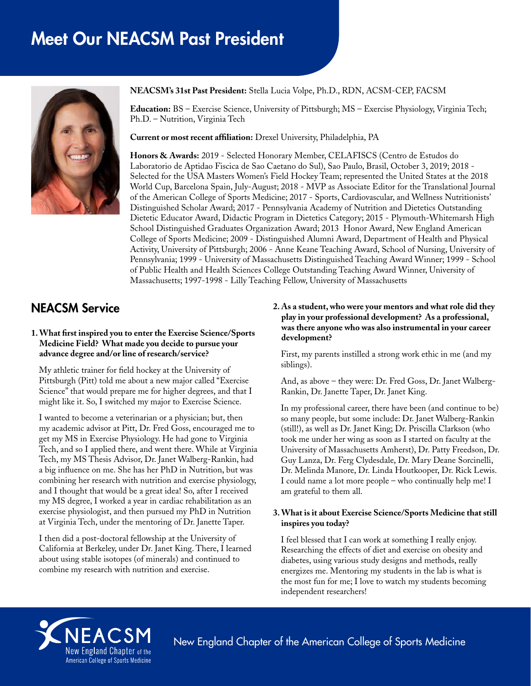# Meet Our NEACSM Past President



#### **NEACSM's 31st Past President:** Stella Lucia Volpe, Ph.D., RDN, ACSM-CEP, FACSM

**Education:** BS – Exercise Science, University of Pittsburgh; MS – Exercise Physiology, Virginia Tech; Ph.D. – Nutrition, Virginia Tech

**Current or most recent affiliation:** Drexel University, Philadelphia, PA

**Honors & Awards:** 2019 - Selected Honorary Member, CELAFISCS (Centro de Estudos do Laboratorio de Aptidao Fiscica de Sao Caetano do Sul), Sao Paulo, Brasil, October 3, 2019; 2018 - Selected for the USA Masters Women's Field Hockey Team; represented the United States at the 2018 World Cup, Barcelona Spain, July-August; 2018 - MVP as Associate Editor for the Translational Journal of the American College of Sports Medicine; 2017 - Sports, Cardiovascular, and Wellness Nutritionists' Distinguished Scholar Award; 2017 - Pennsylvania Academy of Nutrition and Dietetics Outstanding Dietetic Educator Award, Didactic Program in Dietetics Category; 2015 - Plymouth-Whitemarsh High School Distinguished Graduates Organization Award; 2013 Honor Award, New England American College of Sports Medicine; 2009 - Distinguished Alumni Award, Department of Health and Physical Activity, University of Pittsburgh; 2006 - Anne Keane Teaching Award, School of Nursing, University of Pennsylvania; 1999 - University of Massachusetts Distinguished Teaching Award Winner; 1999 - School of Public Health and Health Sciences College Outstanding Teaching Award Winner, University of Massachusetts; 1997-1998 - Lilly Teaching Fellow, University of Massachusetts

# NEACSM Service

#### **1. What first inspired you to enter the Exercise Science/Sports Medicine Field? What made you decide to pursue your advance degree and/or line of research/service?**

My athletic trainer for field hockey at the University of Pittsburgh (Pitt) told me about a new major called "Exercise Science" that would prepare me for higher degrees, and that I might like it. So, I switched my major to Exercise Science.

I wanted to become a veterinarian or a physician; but, then my academic advisor at Pitt, Dr. Fred Goss, encouraged me to get my MS in Exercise Physiology. He had gone to Virginia Tech, and so I applied there, and went there. While at Virginia Tech, my MS Thesis Advisor, Dr. Janet Walberg-Rankin, had a big influence on me. She has her PhD in Nutrition, but was combining her research with nutrition and exercise physiology, and I thought that would be a great idea! So, after I received my MS degree, I worked a year in cardiac rehabilitation as an exercise physiologist, and then pursued my PhD in Nutrition at Virginia Tech, under the mentoring of Dr. Janette Taper.

I then did a post-doctoral fellowship at the University of California at Berkeley, under Dr. Janet King. There, I learned about using stable isotopes (of minerals) and continued to combine my research with nutrition and exercise.

#### **2. As a student, who were your mentors and what role did they play in your professional development? As a professional, was there anyone who was also instrumental in your career development?**

First, my parents instilled a strong work ethic in me (and my siblings).

And, as above – they were: Dr. Fred Goss, Dr. Janet Walberg-Rankin, Dr. Janette Taper, Dr. Janet King.

In my professional career, there have been (and continue to be) so many people, but some include: Dr. Janet Walberg-Rankin (still!), as well as Dr. Janet King; Dr. Priscilla Clarkson (who took me under her wing as soon as I started on faculty at the University of Massachusetts Amherst), Dr. Patty Freedson, Dr. Guy Lanza, Dr. Ferg Clydesdale, Dr. Mary Deane Sorcinelli, Dr. Melinda Manore, Dr. Linda Houtkooper, Dr. Rick Lewis. I could name a lot more people – who continually help me! I am grateful to them all.

#### **3. What is it about Exercise Science/Sports Medicine that still inspires you today?**

I feel blessed that I can work at something I really enjoy. Researching the effects of diet and exercise on obesity and diabetes, using various study designs and methods, really energizes me. Mentoring my students in the lab is what is the most fun for me; I love to watch my students becoming independent researchers!



New England Chapter of the American College of Sports Medicine